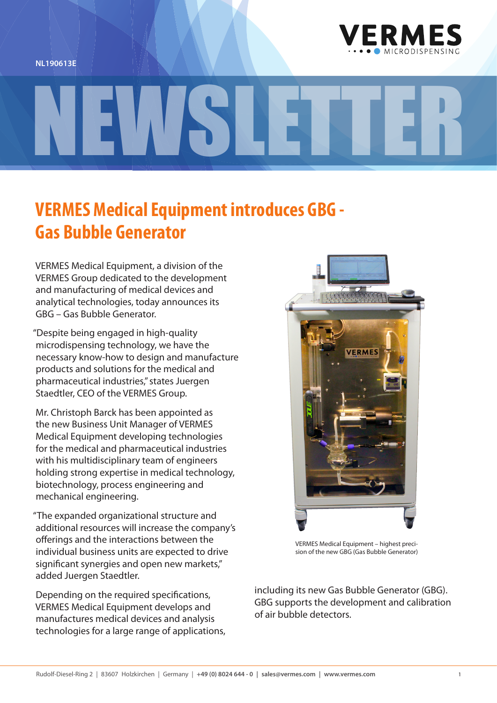



## **VERMES Medical Equipment introduces GBG - Gas Bubble Generator**

NEWSLETTER

VERMES Medical Equipment, a division of the VERMES Group dedicated to the development and manufacturing of medical devices and analytical technologies, today announces its GBG – Gas Bubble Generator.

"Despite being engaged in high-quality microdispensing technology, we have the necessary know-how to design and manufacture products and solutions for the medical and pharmaceutical industries," states Juergen Staedtler, CEO of the VERMES Group.

Mr. Christoph Barck has been appointed as the new Business Unit Manager of VERMES Medical Equipment developing technologies for the medical and pharmaceutical industries with his multidisciplinary team of engineers holding strong expertise in medical technology, biotechnology, process engineering and mechanical engineering.

"The expanded organizational structure and additional resources will increase the company's offerings and the interactions between the individual business units are expected to drive significant synergies and open new markets," added Juergen Staedtler.

Depending on the required specifications, VERMES Medical Equipment develops and manufactures medical devices and analysis technologies for a large range of applications,



VERMES Medical Equipment – highest precision of the new GBG (Gas Bubble Generator)

including its new Gas Bubble Generator (GBG). GBG supports the development and calibration of air bubble detectors.